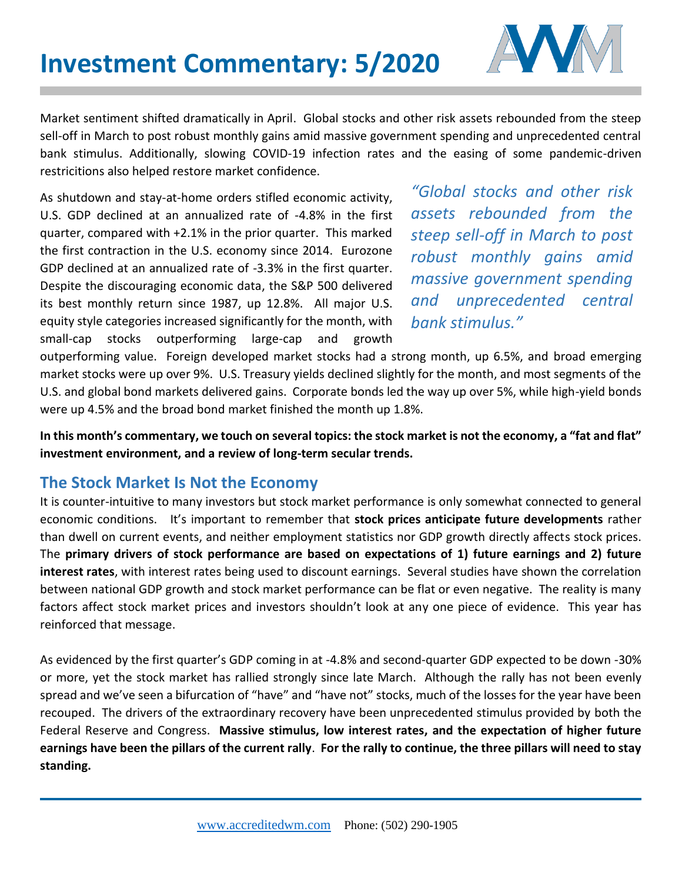

Market sentiment shifted dramatically in April. Global stocks and other risk assets rebounded from the steep sell-off in March to post robust monthly gains amid massive government spending and unprecedented central bank stimulus. Additionally, slowing COVID-19 infection rates and the easing of some pandemic-driven restricitions also helped restore market confidence.

As shutdown and stay-at-home orders stifled economic activity, U.S. GDP declined at an annualized rate of -4.8% in the first quarter, compared with +2.1% in the prior quarter. This marked the first contraction in the U.S. economy since 2014. Eurozone GDP declined at an annualized rate of -3.3% in the first quarter. Despite the discouraging economic data, the S&P 500 delivered its best monthly return since 1987, up 12.8%. All major U.S. equity style categories increased significantly for the month, with small-cap stocks outperforming large-cap and growth

*"Global stocks and other risk assets rebounded from the steep sell-off in March to post robust monthly gains amid massive government spending and unprecedented central bank stimulus."* 

outperforming value. Foreign developed market stocks had a strong month, up 6.5%, and broad emerging market stocks were up over 9%. U.S. Treasury yields declined slightly for the month, and most segments of the U.S. and global bond markets delivered gains. Corporate bonds led the way up over 5%, while high-yield bonds were up 4.5% and the broad bond market finished the month up 1.8%.

**In this month's commentary, we touch on several topics: the stock market is not the economy, a "fat and flat" investment environment, and a review of long-term secular trends.**

## **The Stock Market Is Not the Economy**

It is counter-intuitive to many investors but stock market performance is only somewhat connected to general economic conditions. It's important to remember that **stock prices anticipate future developments** rather than dwell on current events, and neither employment statistics nor GDP growth directly affects stock prices. The **primary drivers of stock performance are based on expectations of 1) future earnings and 2) future interest rates**, with interest rates being used to discount earnings. Several studies have shown the correlation between national GDP growth and stock market performance can be flat or even negative. The reality is many factors affect stock market prices and investors shouldn't look at any one piece of evidence. This year has reinforced that message.

As evidenced by the first quarter's GDP coming in at -4.8% and second-quarter GDP expected to be down -30% or more, yet the stock market has rallied strongly since late March. Although the rally has not been evenly spread and we've seen a bifurcation of "have" and "have not" stocks, much of the losses for the year have been recouped. The drivers of the extraordinary recovery have been unprecedented stimulus provided by both the Federal Reserve and Congress. **Massive stimulus, low interest rates, and the expectation of higher future earnings have been the pillars of the current rally**. **For the rally to continue, the three pillars will need to stay standing.**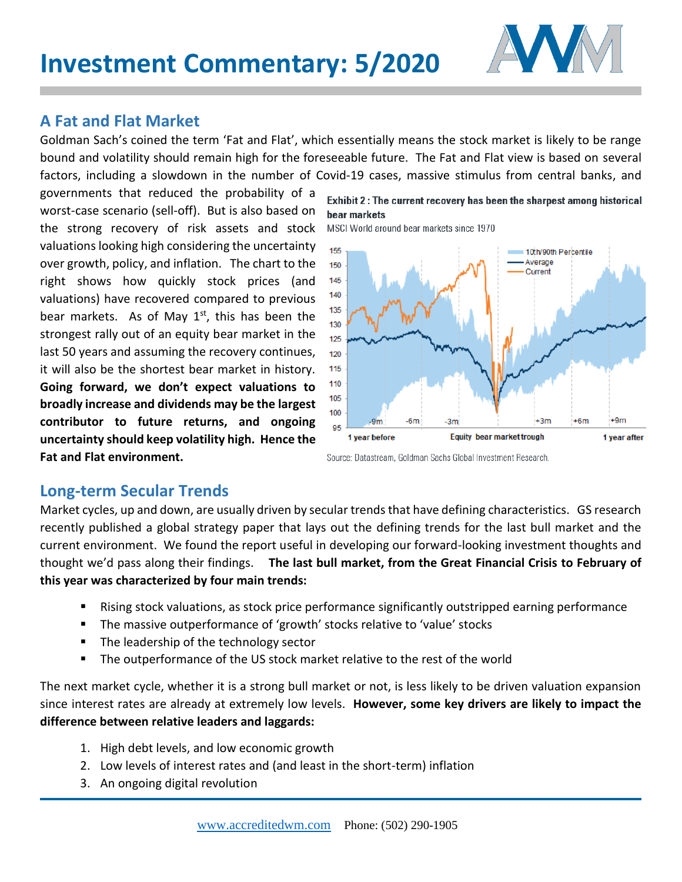

## **A Fat and Flat Market**

Goldman Sach's coined the term 'Fat and Flat', which essentially means the stock market is likely to be range bound and volatility should remain high for the foreseeable future. The Fat and Flat view is based on several factors, including a slowdown in the number of Covid-19 cases, massive stimulus from central banks, and

governments that reduced the probability of a worst-case scenario (sell-off). But is also based on the strong recovery of risk assets and stock valuations looking high considering the uncertainty over growth, policy, and inflation. The chart to the right shows how quickly stock prices (and valuations) have recovered compared to previous bear markets. As of May  $1<sup>st</sup>$ , this has been the strongest rally out of an equity bear market in the last 50 years and assuming the recovery continues, it will also be the shortest bear market in history. **Going forward, we don't expect valuations to broadly increase and dividends may be the largest contributor to future returns, and ongoing uncertainty should keep volatility high. Hence the Fat and Flat environment.**

Exhibit 2: The current recovery has been the sharpest among historical bear markets

MSCI World around bear markets since 1970



Source: Datastream, Goldman Sachs Global Investment Research.

## **Long-term Secular Trends**

Market cycles, up and down, are usually driven by secular trends that have defining characteristics. GS research recently published a global strategy paper that lays out the defining trends for the last bull market and the current environment. We found the report useful in developing our forward-looking investment thoughts and thought we'd pass along their findings. **The last bull market, from the Great Financial Crisis to February of this year was characterized by four main trends:**

- Rising stock valuations, as stock price performance significantly outstripped earning performance
- **The massive outperformance of 'growth' stocks relative to 'value' stocks**
- The leadership of the technology sector
- The outperformance of the US stock market relative to the rest of the world

The next market cycle, whether it is a strong bull market or not, is less likely to be driven valuation expansion since interest rates are already at extremely low levels. **However, some key drivers are likely to impact the difference between relative leaders and laggards:**

- 1. High debt levels, and low economic growth
- 2. Low levels of interest rates and (and least in the short-term) inflation
- 3. An ongoing digital revolution